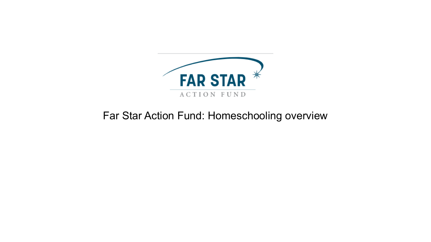

## Far Star Action Fund: Homeschooling overview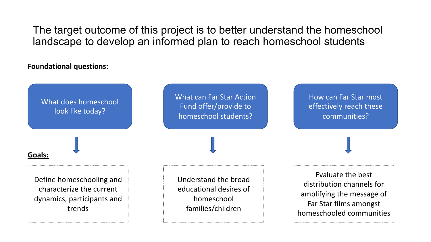The target outcome of this project is to better understand the homeschool landscape to develop an informed plan to reach homeschool students

### **Foundational questions:**

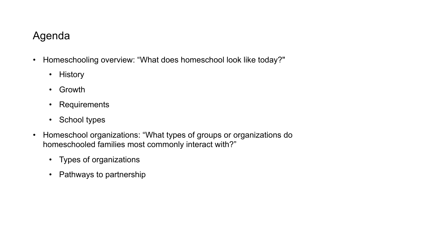## Agenda

- Homeschooling overview: "What does homeschool look like today?"
	- History
	- Growth
	- Requirements
	- School types
- Homeschool organizations: "What types of groups or organizations do homeschooled families most commonly interact with?"
	- Types of organizations
	- Pathways to partnership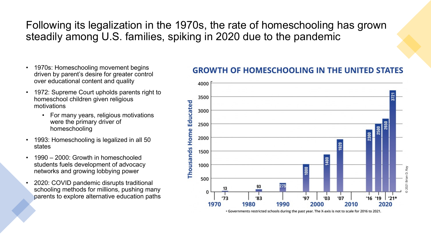Following its legalization in the 1970s, the rate of homeschooling has grown steadily among U.S. families, spiking in 2020 due to the pandemic

- 1970s: Homeschooling movement begins driven by parent's desire for greater control over educational content and quality
- 1972: Supreme Court upholds parents right to homeschool children given religious motivations
	- For many years, religious motivations were the primary driver of homeschooling
- 1993: Homeschooling is legalized in all 50 states
- 1990 2000: Growth in homeschooled students fuels development of advocacy networks and growing lobbying power
- 2020: COVID pandemic disrupts traditional schooling methods for millions, pushing many parents to explore alternative education paths

## **GROWTH OF HOMESCHOOLING IN THE UNITED STATES**



. Governments restricted schools during the past year. The X-axis is not to scale for 2016 to 2021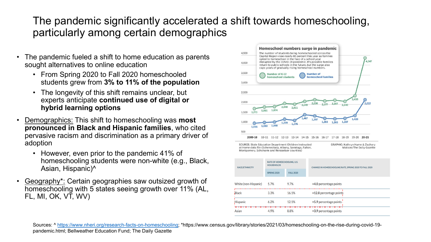# The pandemic significantly accelerated a shift towards homestic homestic homes particularly among certain demographics

- The pandemic fueled a shift to home education as parents sought alternatives to online education
	- From Spring 2020 to Fall 2020 homeschooled students grew from **3% to 11% of the population**
	- The longevity of this shift remains unclear, but experts anticipate **continued use of digital or hybr[id learning options](https://www.nheri.org/research-facts-on-homeschooling)**
- Demographics: This shift to homeschooling was **most pronounced in Black and Hispanic families**, who cited pervasive racism and discrimination as a primary driver of adoption
	- However, even prior to the pandemic 41% of homeschooling students were non-white (e.g., Black, Asian, Hispanic)^
- Geography\*: Certain geographies saw outsized growth of homeschooling with 5 states seeing growth over 11% (AL, FL, MI, OK, VT, WV)



at Home data file (Schenecta Montgomery, Schoharie and

| <b>RACE/ETHNICITY</b> | <b>RATE OI</b><br><b>HOUSEI</b> |
|-----------------------|---------------------------------|
|                       | <b>SPRING</b>                   |
| White (non-Hispanic)  | 5.7%                            |
| Black                 | 3.3%                            |
| :Hispanic             | 6.2%                            |
| Asian                 | 4.9%                            |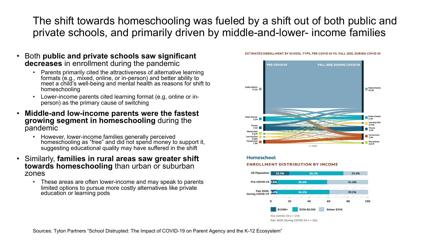The shift towards homeschooling was fueled by a shift out of both public and private schools, and primarily driven by middle-and-lower- income families

- Both **public and private schools saw significant decreases** in enrollment during the pandemic
	- Parents primarily cited the attractiveness of alternative learning<br>formats (e.g., mixed, online, or in-person) and better ability to meet a child's well-being and mental health as reasons for shift to homeschooling
	- Lower-income parents cited learning format (e.g, online or inperson) as the primary cause of switching
- **Middle-and low-income parents were the fastest growing segment in homeschooling** during the pandemic
	- However, lower-income families generally perceived homeschooling as "free" and did not spend money to support it, suggesting educational quality may have suffered in the shift
- Similarly, **families in rural areas saw greater shift towards homeschooling** than urban or suburban zones
	- These areas are often lower-income and may speak to parents limited options to pursue more costly alternatives like private education or learning pods



#### ESTIMATED ENROLLMENT BY SCHOOL TYPE, PRE-COVID-19 VS. FALL 2020, DURING COVID-19



**Homeschool** 

#### Sources: Tyton Partners "School Distrupted: The Impact of COVID-19 on Parent Agency and the K-12 Ecosystem"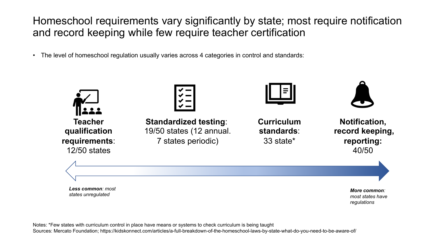Homeschool requirements vary significantly by state; most require notification and record keeping while few require teacher certification

• The level of homeschool regulation usually varies across 4 categories in control and standards:



Notes: \*Few states with curriculum control in place have means or systems to check curriculum is being taught Sources: Mercato Foundation; https://kidskonnect.com/articles/a-full-breakdown-of-the-homeschool-laws-by-state-what-do-you-need-to-be-aware-of/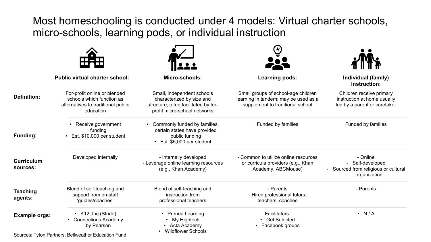Most homeschooling is conducted under 4 models: Virtual charter schools, micro-schools, learning pods, or individual instruction

|                               | <b>Public virtual charter school:</b>                                                                                              | Micro-schools:                                                                                                                  | <b>Learning pods:</b>                                                                                           | Individual (family)<br>instruction:                                                     |
|-------------------------------|------------------------------------------------------------------------------------------------------------------------------------|---------------------------------------------------------------------------------------------------------------------------------|-----------------------------------------------------------------------------------------------------------------|-----------------------------------------------------------------------------------------|
| <b>Definition:</b>            | For-profit online or blended<br>schools which function as<br>alternatives to traditional public<br>education                       | Small, independent schools<br>characterized by size and<br>structure; often facilitated by for-<br>profit micro-school networks | Small groups of school-age children<br>learning in tandem; may be used as a<br>supplement to traditional school | Children receive primary<br>instruction at home usually<br>led by a parent or caretaker |
| Funding:                      | • Receive government<br>funding<br>• Est. \$10,000 per student                                                                     | Commonly funded by families,<br>certain states have provided<br>public funding<br>• Est. \$5,000 per student                    | Funded by families                                                                                              | Funded by families                                                                      |
| <b>Curriculum</b><br>sources: | Developed internally                                                                                                               | - Internally developed<br>- Leverage online learning resources<br>(e.g., Khan Academy)                                          | - Common to utilize online resources<br>or curricula providers (e.g., Khan<br>Academy, ABCMouse)                | - Online<br>- Self-developed<br>Sourced from religious or cultural<br>organization      |
| Teaching<br>agents:           | Blend of self-teaching and<br>support from on-staff<br>'guides/coaches'                                                            | Blend of self-teaching and<br>instruction from<br>professional teachers                                                         | - Parents<br>- Hired professional tutors,<br>teachers, coaches                                                  | - Parents                                                                               |
| <b>Example orgs:</b>          | • K12, Inc (Stride)<br><b>Connections Academy</b><br>by Pearson<br>$\mathbf{a}$ and $\mathbf{a}$ and $\mathbf{a}$ and $\mathbf{a}$ | • Prenda Learning<br>• My Hightech<br>Acta Academy<br><b>Wildflower Schools</b>                                                 | Facilitators:<br><b>Get Selected</b><br>Facebook groups                                                         | $\cdot$ N/A                                                                             |

Sources: Tyton Partners; Bellweather Education Fund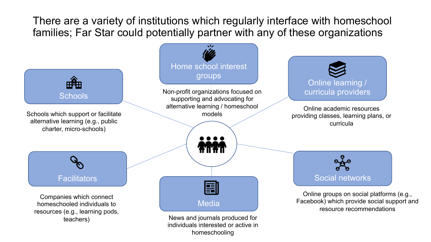There are a variety of institutions which regularly interface with homeschool families; Far Star could potentially partner with any of these organizations



homeschooling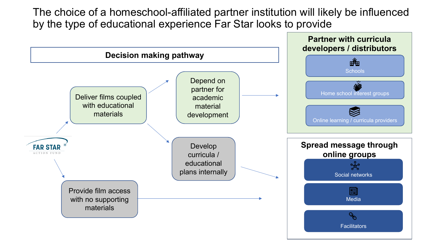The choice of a homeschool-affiliated partner institution will likely be influenced by the type of educational experience Far Star looks to provide

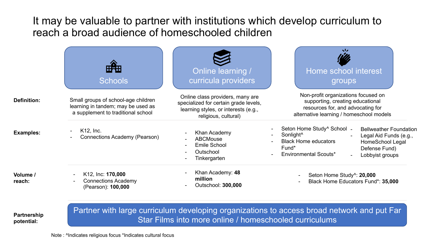It may be valuable to partner with institutions which develop curriculum to reach a broad audience of homeschooled children

|                    | <b>HEH</b><br><b>Schools</b>                                                                                    | <b>Online learning /</b><br>curricula providers                                                                                           | stz<br>Home school interest<br>groups                                                                                                                    |                                                                                                                 |
|--------------------|-----------------------------------------------------------------------------------------------------------------|-------------------------------------------------------------------------------------------------------------------------------------------|----------------------------------------------------------------------------------------------------------------------------------------------------------|-----------------------------------------------------------------------------------------------------------------|
| <b>Definition:</b> | Small groups of school-age children<br>learning in tandem; may be used as<br>a supplement to traditional school | Online class providers, many are<br>specialized for certain grade levels,<br>learning styles, or interests (e.g.,<br>religious, cultural) | Non-profit organizations focused on<br>supporting, creating educational<br>resources for, and advocating for<br>alternative learning / homeschool models |                                                                                                                 |
| <b>Examples:</b>   | K12, Inc.<br>Connections Academy (Pearson)                                                                      | Khan Academy<br><b>ABCMouse</b><br><b>Emile School</b><br>Outschool<br>Tinkergarten                                                       | Seton Home Study <sup>^</sup> School -<br>Sonlight <sup>^</sup><br><b>Black Home educators</b><br>Fund*<br><b>Environmental Scouts*</b>                  | <b>Bellweather Foundation</b><br>Legal Aid Funds (e.g.,<br>HomeSchool Legal<br>Defense Fund)<br>Lobbyist groups |
| Volume /<br>reach: | K12, Inc: 170,000<br>$\blacksquare$<br><b>Connections Academy</b><br>(Pearson): 100,000                         | Khan Academy: 48<br>million<br>Outschool: 300,000                                                                                         | Seton Home Study <sup>1</sup> : 20,000<br>Black Home Educators Fund*: 35,000                                                                             |                                                                                                                 |

**Partnership potential:**

Partner with large curriculum developing organizations to access broad network and put Far Star Films into more online / homeschooled curriculums

Note : ^Indicates religious focus \*Indicates cultural focus